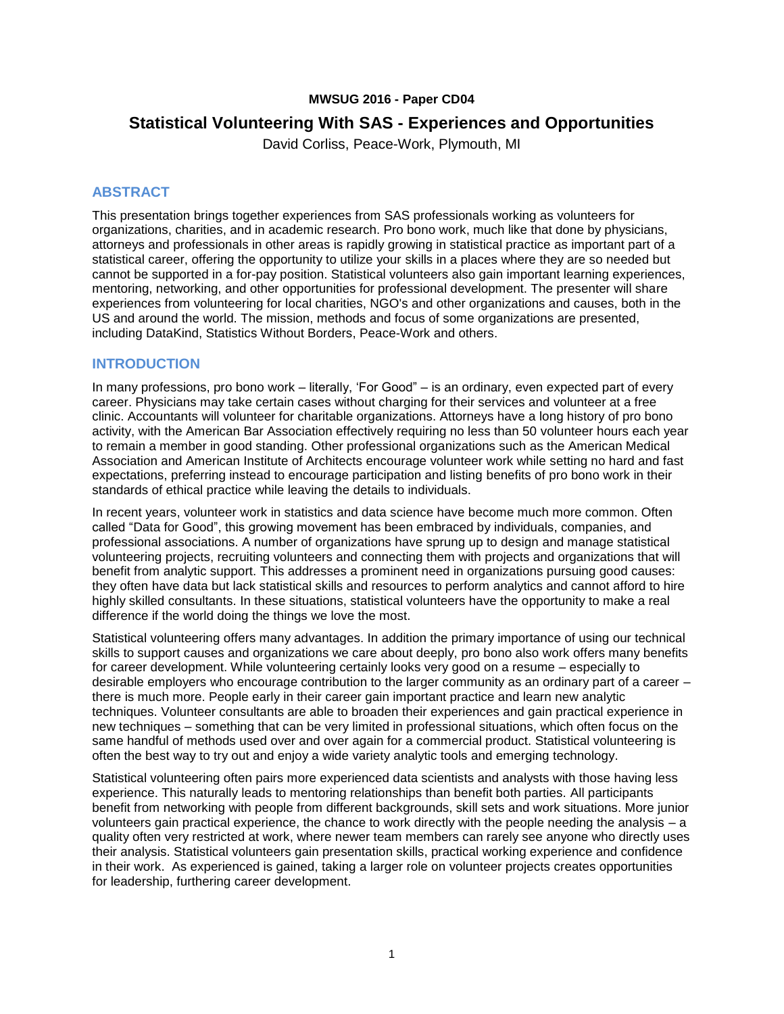#### **MWSUG 2016 - Paper CD04**

# **Statistical Volunteering With SAS - Experiences and Opportunities**

David Corliss, Peace-Work, Plymouth, MI

#### **ABSTRACT**

This presentation brings together experiences from SAS professionals working as volunteers for organizations, charities, and in academic research. Pro bono work, much like that done by physicians, attorneys and professionals in other areas is rapidly growing in statistical practice as important part of a statistical career, offering the opportunity to utilize your skills in a places where they are so needed but cannot be supported in a for-pay position. Statistical volunteers also gain important learning experiences, mentoring, networking, and other opportunities for professional development. The presenter will share experiences from volunteering for local charities, NGO's and other organizations and causes, both in the US and around the world. The mission, methods and focus of some organizations are presented, including DataKind, Statistics Without Borders, Peace-Work and others.

#### **INTRODUCTION**

In many professions, pro bono work – literally, 'For Good" – is an ordinary, even expected part of every career. Physicians may take certain cases without charging for their services and volunteer at a free clinic. Accountants will volunteer for charitable organizations. Attorneys have a long history of pro bono activity, with the American Bar Association effectively requiring no less than 50 volunteer hours each year to remain a member in good standing. Other professional organizations such as the American Medical Association and American Institute of Architects encourage volunteer work while setting no hard and fast expectations, preferring instead to encourage participation and listing benefits of pro bono work in their standards of ethical practice while leaving the details to individuals.

In recent years, volunteer work in statistics and data science have become much more common. Often called "Data for Good", this growing movement has been embraced by individuals, companies, and professional associations. A number of organizations have sprung up to design and manage statistical volunteering projects, recruiting volunteers and connecting them with projects and organizations that will benefit from analytic support. This addresses a prominent need in organizations pursuing good causes: they often have data but lack statistical skills and resources to perform analytics and cannot afford to hire highly skilled consultants. In these situations, statistical volunteers have the opportunity to make a real difference if the world doing the things we love the most.

Statistical volunteering offers many advantages. In addition the primary importance of using our technical skills to support causes and organizations we care about deeply, pro bono also work offers many benefits for career development. While volunteering certainly looks very good on a resume – especially to desirable employers who encourage contribution to the larger community as an ordinary part of a career – there is much more. People early in their career gain important practice and learn new analytic techniques. Volunteer consultants are able to broaden their experiences and gain practical experience in new techniques – something that can be very limited in professional situations, which often focus on the same handful of methods used over and over again for a commercial product. Statistical volunteering is often the best way to try out and enjoy a wide variety analytic tools and emerging technology.

Statistical volunteering often pairs more experienced data scientists and analysts with those having less experience. This naturally leads to mentoring relationships than benefit both parties. All participants benefit from networking with people from different backgrounds, skill sets and work situations. More junior volunteers gain practical experience, the chance to work directly with the people needing the analysis – a quality often very restricted at work, where newer team members can rarely see anyone who directly uses their analysis. Statistical volunteers gain presentation skills, practical working experience and confidence in their work. As experienced is gained, taking a larger role on volunteer projects creates opportunities for leadership, furthering career development.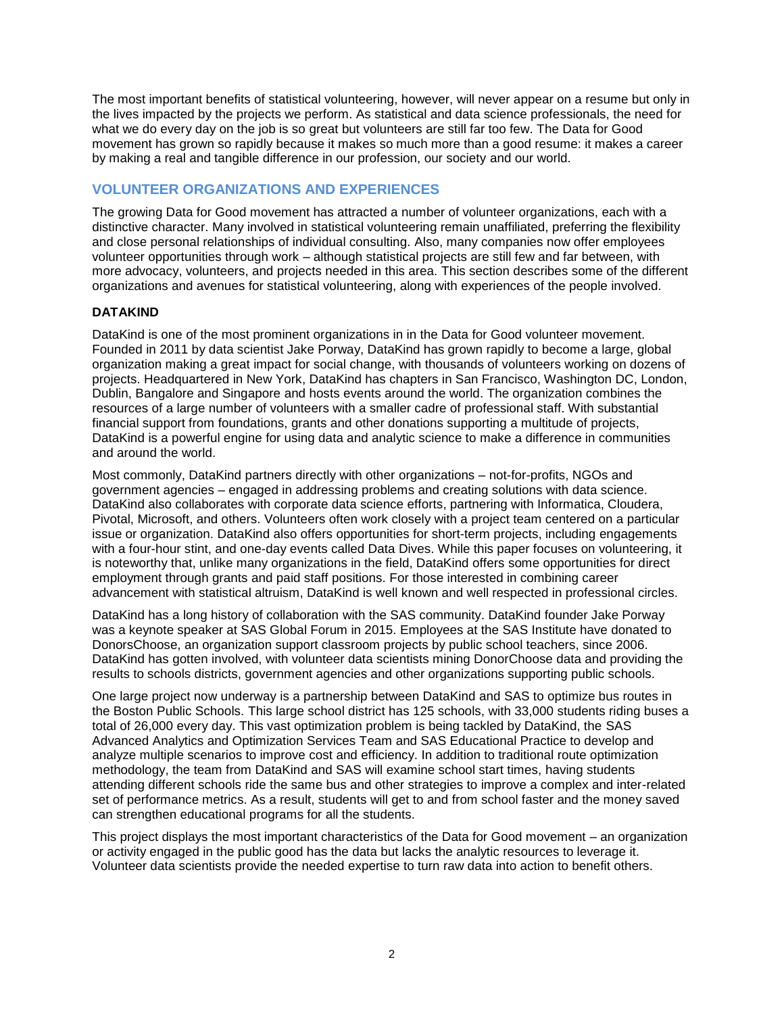The most important benefits of statistical volunteering, however, will never appear on a resume but only in the lives impacted by the projects we perform. As statistical and data science professionals, the need for what we do every day on the job is so great but volunteers are still far too few. The Data for Good movement has grown so rapidly because it makes so much more than a good resume: it makes a career by making a real and tangible difference in our profession, our society and our world.

# **VOLUNTEER ORGANIZATIONS AND EXPERIENCES**

The growing Data for Good movement has attracted a number of volunteer organizations, each with a distinctive character. Many involved in statistical volunteering remain unaffiliated, preferring the flexibility and close personal relationships of individual consulting. Also, many companies now offer employees volunteer opportunities through work – although statistical projects are still few and far between, with more advocacy, volunteers, and projects needed in this area. This section describes some of the different organizations and avenues for statistical volunteering, along with experiences of the people involved.

### **DATAKIND**

DataKind is one of the most prominent organizations in in the Data for Good volunteer movement. Founded in 2011 by data scientist Jake Porway, DataKind has grown rapidly to become a large, global organization making a great impact for social change, with thousands of volunteers working on dozens of projects. Headquartered in New York, DataKind has chapters in San Francisco, Washington DC, London, Dublin, Bangalore and Singapore and hosts events around the world. The organization combines the resources of a large number of volunteers with a smaller cadre of professional staff. With substantial financial support from foundations, grants and other donations supporting a multitude of projects, DataKind is a powerful engine for using data and analytic science to make a difference in communities and around the world.

Most commonly, DataKind partners directly with other organizations – not-for-profits, NGOs and government agencies – engaged in addressing problems and creating solutions with data science. DataKind also collaborates with corporate data science efforts, partnering with Informatica, Cloudera, Pivotal, Microsoft, and others. Volunteers often work closely with a project team centered on a particular issue or organization. DataKind also offers opportunities for short-term projects, including engagements with a four-hour stint, and one-day events called Data Dives. While this paper focuses on volunteering, it is noteworthy that, unlike many organizations in the field, DataKind offers some opportunities for direct employment through grants and paid staff positions. For those interested in combining career advancement with statistical altruism, DataKind is well known and well respected in professional circles.

DataKind has a long history of collaboration with the SAS community. DataKind founder Jake Porway was a keynote speaker at SAS Global Forum in 2015. Employees at the SAS Institute have donated to DonorsChoose, an organization support classroom projects by public school teachers, since 2006. DataKind has gotten involved, with volunteer data scientists mining DonorChoose data and providing the results to schools districts, government agencies and other organizations supporting public schools.

One large project now underway is a partnership between DataKind and SAS to optimize bus routes in the Boston Public Schools. This large school district has 125 schools, with 33,000 students riding buses a total of 26,000 every day. This vast optimization problem is being tackled by DataKind, the SAS Advanced Analytics and Optimization Services Team and SAS Educational Practice to develop and analyze multiple scenarios to improve cost and efficiency. In addition to traditional route optimization methodology, the team from DataKind and SAS will examine school start times, having students attending different schools ride the same bus and other strategies to improve a complex and inter-related set of performance metrics. As a result, students will get to and from school faster and the money saved can strengthen educational programs for all the students.

This project displays the most important characteristics of the Data for Good movement – an organization or activity engaged in the public good has the data but lacks the analytic resources to leverage it. Volunteer data scientists provide the needed expertise to turn raw data into action to benefit others.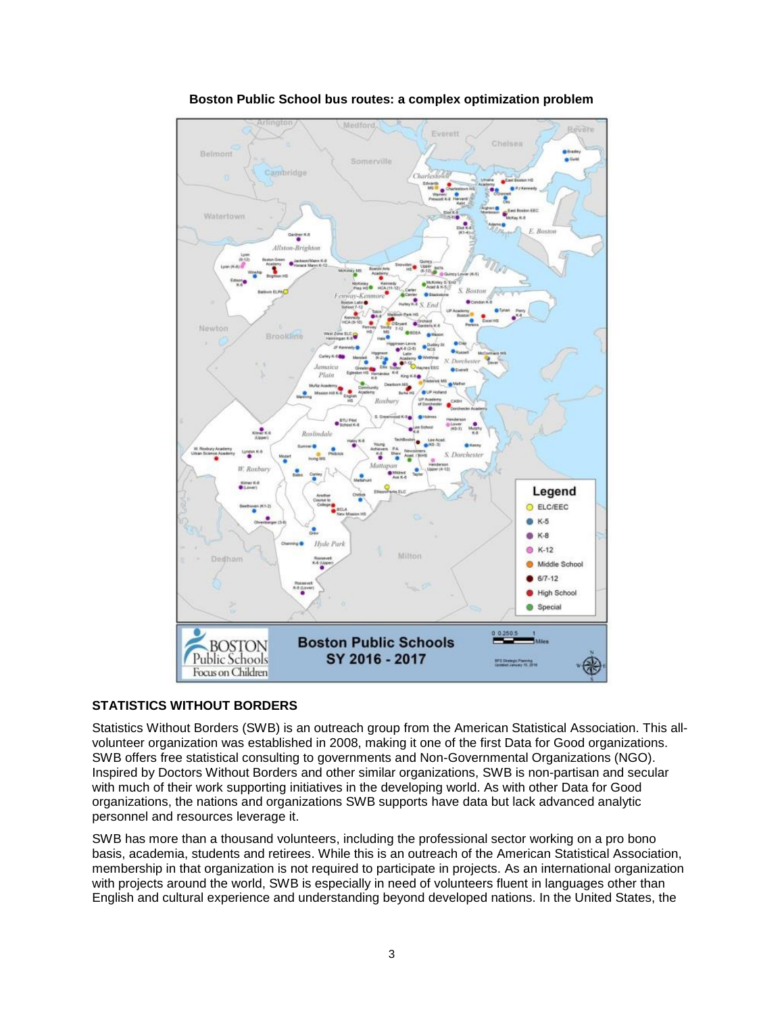

**Boston Public School bus routes: a complex optimization problem**

## **STATISTICS WITHOUT BORDERS**

Statistics Without Borders (SWB) is an outreach group from the American Statistical Association. This allvolunteer organization was established in 2008, making it one of the first Data for Good organizations. SWB offers free statistical consulting to governments and Non-Governmental Organizations (NGO). Inspired by Doctors Without Borders and other similar organizations, SWB is non-partisan and secular with much of their work supporting initiatives in the developing world. As with other Data for Good organizations, the nations and organizations SWB supports have data but lack advanced analytic personnel and resources leverage it.

SWB has more than a thousand volunteers, including the professional sector working on a pro bono basis, academia, students and retirees. While this is an outreach of the American Statistical Association, membership in that organization is not required to participate in projects. As an international organization with projects around the world, SWB is especially in need of volunteers fluent in languages other than English and cultural experience and understanding beyond developed nations. In the United States, the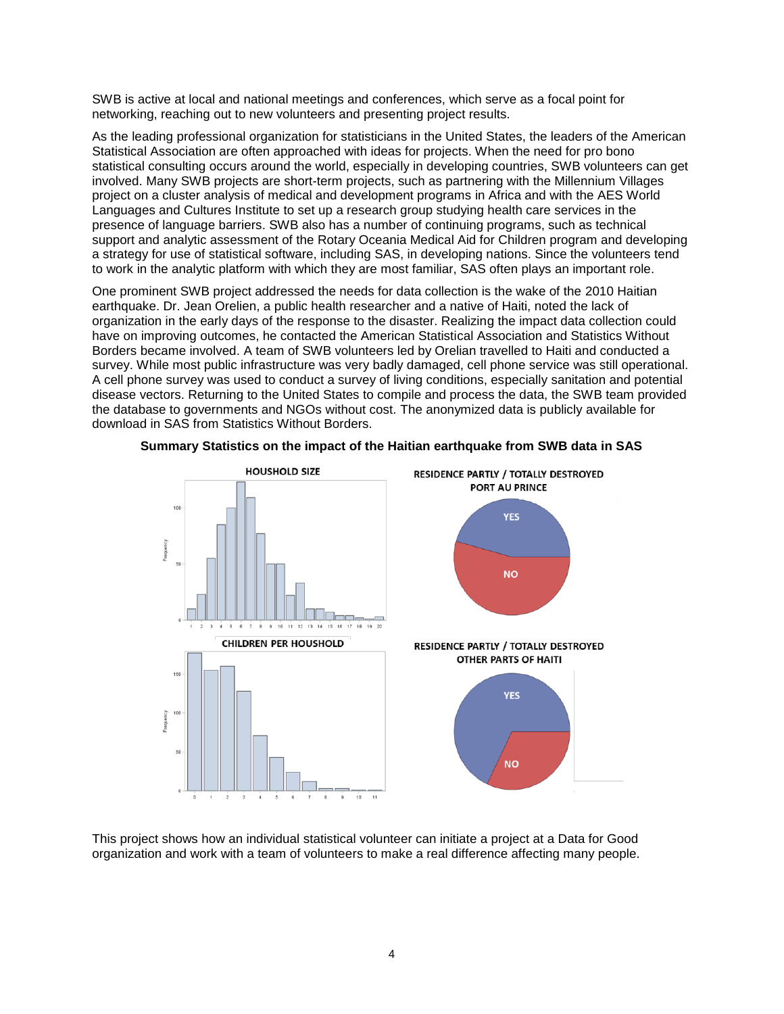SWB is active at local and national meetings and conferences, which serve as a focal point for networking, reaching out to new volunteers and presenting project results.

As the leading professional organization for statisticians in the United States, the leaders of the American Statistical Association are often approached with ideas for projects. When the need for pro bono statistical consulting occurs around the world, especially in developing countries, SWB volunteers can get involved. Many SWB projects are short-term projects, such as partnering with the Millennium Villages project on a cluster analysis of medical and development programs in Africa and with the AES World Languages and Cultures Institute to set up a research group studying health care services in the presence of language barriers. SWB also has a number of continuing programs, such as technical support and analytic assessment of the Rotary Oceania Medical Aid for Children program and developing a strategy for use of statistical software, including SAS, in developing nations. Since the volunteers tend to work in the analytic platform with which they are most familiar, SAS often plays an important role.

One prominent SWB project addressed the needs for data collection is the wake of the 2010 Haitian earthquake. Dr. Jean Orelien, a public health researcher and a native of Haiti, noted the lack of organization in the early days of the response to the disaster. Realizing the impact data collection could have on improving outcomes, he contacted the American Statistical Association and Statistics Without Borders became involved. A team of SWB volunteers led by Orelian travelled to Haiti and conducted a survey. While most public infrastructure was very badly damaged, cell phone service was still operational. A cell phone survey was used to conduct a survey of living conditions, especially sanitation and potential disease vectors. Returning to the United States to compile and process the data, the SWB team provided the database to governments and NGOs without cost. The anonymized data is publicly available for download in SAS from Statistics Without Borders.



**Summary Statistics on the impact of the Haitian earthquake from SWB data in SAS**

This project shows how an individual statistical volunteer can initiate a project at a Data for Good organization and work with a team of volunteers to make a real difference affecting many people.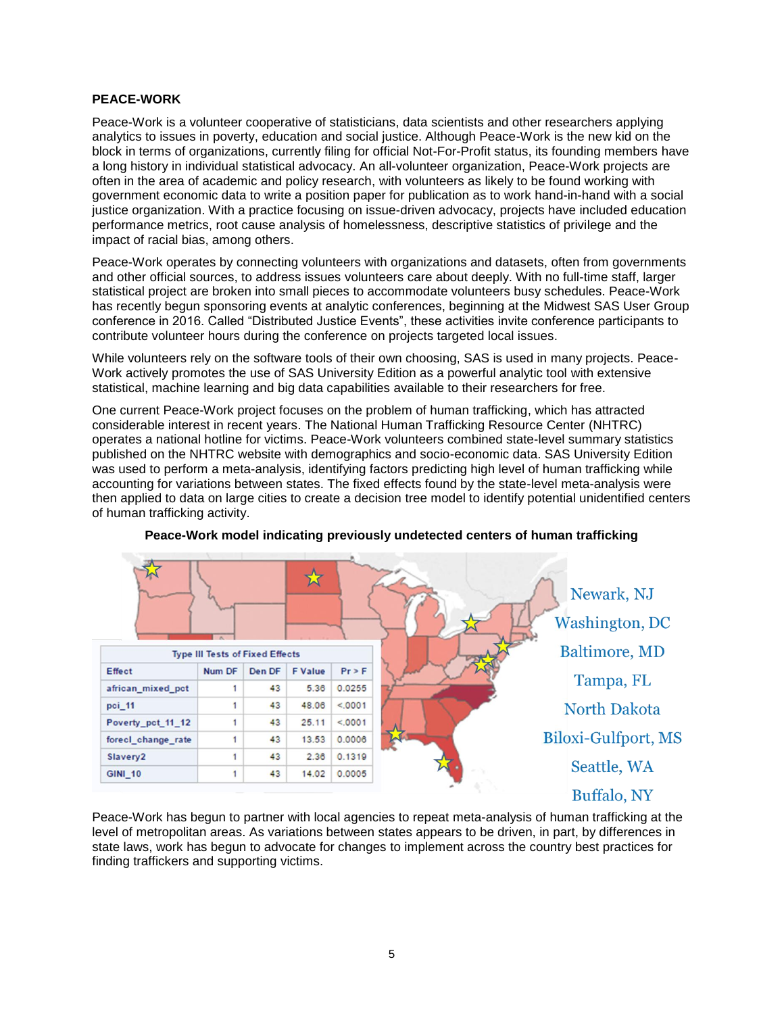#### **PEACE-WORK**

Peace-Work is a volunteer cooperative of statisticians, data scientists and other researchers applying analytics to issues in poverty, education and social justice. Although Peace-Work is the new kid on the block in terms of organizations, currently filing for official Not-For-Profit status, its founding members have a long history in individual statistical advocacy. An all-volunteer organization, Peace-Work projects are often in the area of academic and policy research, with volunteers as likely to be found working with government economic data to write a position paper for publication as to work hand-in-hand with a social justice organization. With a practice focusing on issue-driven advocacy, projects have included education performance metrics, root cause analysis of homelessness, descriptive statistics of privilege and the impact of racial bias, among others.

Peace-Work operates by connecting volunteers with organizations and datasets, often from governments and other official sources, to address issues volunteers care about deeply. With no full-time staff, larger statistical project are broken into small pieces to accommodate volunteers busy schedules. Peace-Work has recently begun sponsoring events at analytic conferences, beginning at the Midwest SAS User Group conference in 2016. Called "Distributed Justice Events", these activities invite conference participants to contribute volunteer hours during the conference on projects targeted local issues.

While volunteers rely on the software tools of their own choosing, SAS is used in many projects. Peace-Work actively promotes the use of SAS University Edition as a powerful analytic tool with extensive statistical, machine learning and big data capabilities available to their researchers for free.

One current Peace-Work project focuses on the problem of human trafficking, which has attracted considerable interest in recent years. The National Human Trafficking Resource Center (NHTRC) operates a national hotline for victims. Peace-Work volunteers combined state-level summary statistics published on the NHTRC website with demographics and socio-economic data. SAS University Edition was used to perform a meta-analysis, identifying factors predicting high level of human trafficking while accounting for variations between states. The fixed effects found by the state-level meta-analysis were then applied to data on large cities to create a decision tree model to identify potential unidentified centers of human trafficking activity.





Peace-Work has begun to partner with local agencies to repeat meta-analysis of human trafficking at the level of metropolitan areas. As variations between states appears to be driven, in part, by differences in state laws, work has begun to advocate for changes to implement across the country best practices for finding traffickers and supporting victims.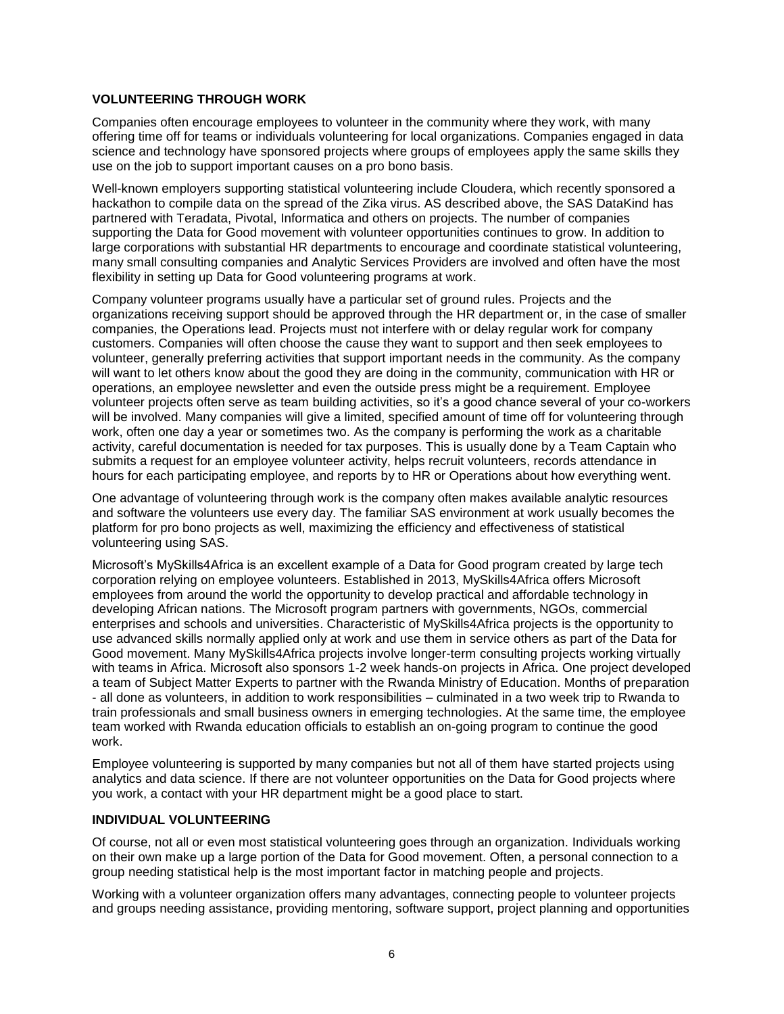#### **VOLUNTEERING THROUGH WORK**

Companies often encourage employees to volunteer in the community where they work, with many offering time off for teams or individuals volunteering for local organizations. Companies engaged in data science and technology have sponsored projects where groups of employees apply the same skills they use on the job to support important causes on a pro bono basis.

Well-known employers supporting statistical volunteering include Cloudera, which recently sponsored a hackathon to compile data on the spread of the Zika virus. AS described above, the SAS DataKind has partnered with Teradata, Pivotal, Informatica and others on projects. The number of companies supporting the Data for Good movement with volunteer opportunities continues to grow. In addition to large corporations with substantial HR departments to encourage and coordinate statistical volunteering, many small consulting companies and Analytic Services Providers are involved and often have the most flexibility in setting up Data for Good volunteering programs at work.

Company volunteer programs usually have a particular set of ground rules. Projects and the organizations receiving support should be approved through the HR department or, in the case of smaller companies, the Operations lead. Projects must not interfere with or delay regular work for company customers. Companies will often choose the cause they want to support and then seek employees to volunteer, generally preferring activities that support important needs in the community. As the company will want to let others know about the good they are doing in the community, communication with HR or operations, an employee newsletter and even the outside press might be a requirement. Employee volunteer projects often serve as team building activities, so it's a good chance several of your co-workers will be involved. Many companies will give a limited, specified amount of time off for volunteering through work, often one day a year or sometimes two. As the company is performing the work as a charitable activity, careful documentation is needed for tax purposes. This is usually done by a Team Captain who submits a request for an employee volunteer activity, helps recruit volunteers, records attendance in hours for each participating employee, and reports by to HR or Operations about how everything went.

One advantage of volunteering through work is the company often makes available analytic resources and software the volunteers use every day. The familiar SAS environment at work usually becomes the platform for pro bono projects as well, maximizing the efficiency and effectiveness of statistical volunteering using SAS.

Microsoft's MySkills4Africa is an excellent example of a Data for Good program created by large tech corporation relying on employee volunteers. Established in 2013, MySkills4Africa offers Microsoft employees from around the world the opportunity to develop practical and affordable technology in developing African nations. The Microsoft program partners with governments, NGOs, commercial enterprises and schools and universities. Characteristic of MySkills4Africa projects is the opportunity to use advanced skills normally applied only at work and use them in service others as part of the Data for Good movement. Many MySkills4Africa projects involve longer-term consulting projects working virtually with teams in Africa. Microsoft also sponsors 1-2 week hands-on projects in Africa. One project developed a team of Subject Matter Experts to partner with the Rwanda Ministry of Education. Months of preparation - all done as volunteers, in addition to work responsibilities – culminated in a two week trip to Rwanda to train professionals and small business owners in emerging technologies. At the same time, the employee team worked with Rwanda education officials to establish an on-going program to continue the good work.

Employee volunteering is supported by many companies but not all of them have started projects using analytics and data science. If there are not volunteer opportunities on the Data for Good projects where you work, a contact with your HR department might be a good place to start.

#### **INDIVIDUAL VOLUNTEERING**

Of course, not all or even most statistical volunteering goes through an organization. Individuals working on their own make up a large portion of the Data for Good movement. Often, a personal connection to a group needing statistical help is the most important factor in matching people and projects.

Working with a volunteer organization offers many advantages, connecting people to volunteer projects and groups needing assistance, providing mentoring, software support, project planning and opportunities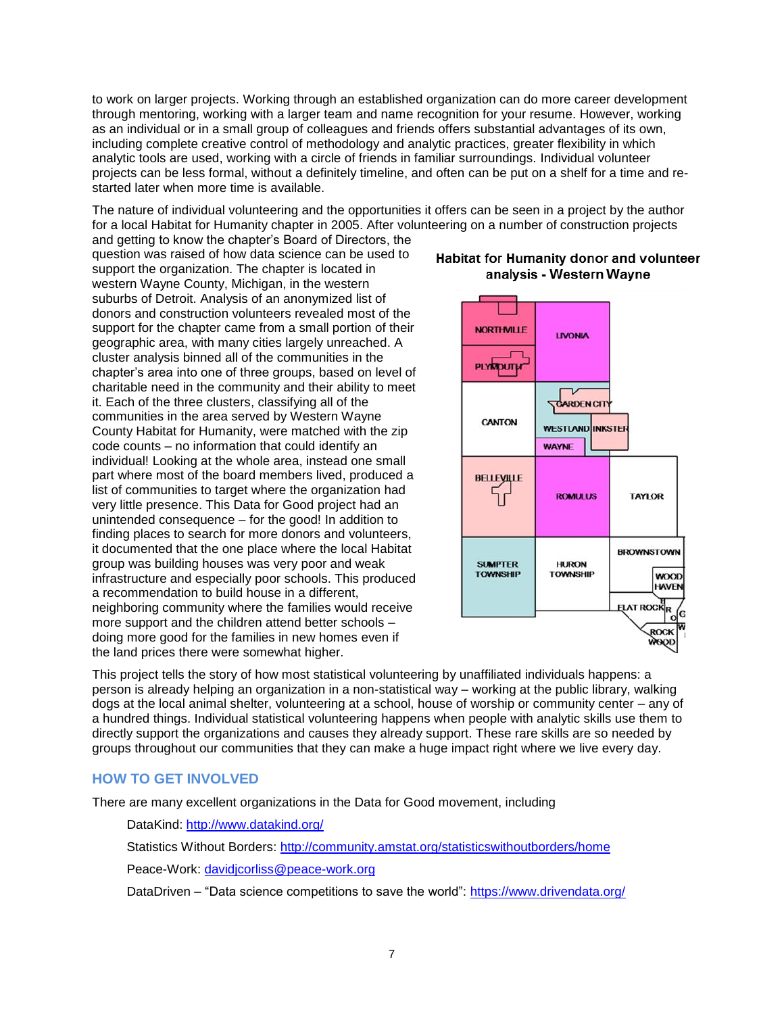to work on larger projects. Working through an established organization can do more career development through mentoring, working with a larger team and name recognition for your resume. However, working as an individual or in a small group of colleagues and friends offers substantial advantages of its own, including complete creative control of methodology and analytic practices, greater flexibility in which analytic tools are used, working with a circle of friends in familiar surroundings. Individual volunteer projects can be less formal, without a definitely timeline, and often can be put on a shelf for a time and restarted later when more time is available.

The nature of individual volunteering and the opportunities it offers can be seen in a project by the author for a local Habitat for Humanity chapter in 2005. After volunteering on a number of construction projects and getting to know the chapter's Board of Directors, the

question was raised of how data science can be used to support the organization. The chapter is located in western Wayne County, Michigan, in the western suburbs of Detroit. Analysis of an anonymized list of donors and construction volunteers revealed most of the support for the chapter came from a small portion of their geographic area, with many cities largely unreached. A cluster analysis binned all of the communities in the chapter's area into one of three groups, based on level of charitable need in the community and their ability to meet it. Each of the three clusters, classifying all of the communities in the area served by Western Wayne County Habitat for Humanity, were matched with the zip code counts – no information that could identify an individual! Looking at the whole area, instead one small part where most of the board members lived, produced a list of communities to target where the organization had very little presence. This Data for Good project had an unintended consequence – for the good! In addition to finding places to search for more donors and volunteers, it documented that the one place where the local Habitat group was building houses was very poor and weak infrastructure and especially poor schools. This produced a recommendation to build house in a different, neighboring community where the families would receive more support and the children attend better schools – doing more good for the families in new homes even if the land prices there were somewhat higher.



This project tells the story of how most statistical volunteering by unaffiliated individuals happens: a person is already helping an organization in a non-statistical way – working at the public library, walking dogs at the local animal shelter, volunteering at a school, house of worship or community center – any of a hundred things. Individual statistical volunteering happens when people with analytic skills use them to directly support the organizations and causes they already support. These rare skills are so needed by groups throughout our communities that they can make a huge impact right where we live every day.

## **HOW TO GET INVOLVED**

There are many excellent organizations in the Data for Good movement, including

DataKind:<http://www.datakind.org/>

Statistics Without Borders:<http://community.amstat.org/statisticswithoutborders/home>

Peace-Work: [davidjcorliss@peace-work.org](mailto:davidjcorliss@peace-work.org)

DataDriven – "Data science competitions to save the world":<https://www.drivendata.org/>